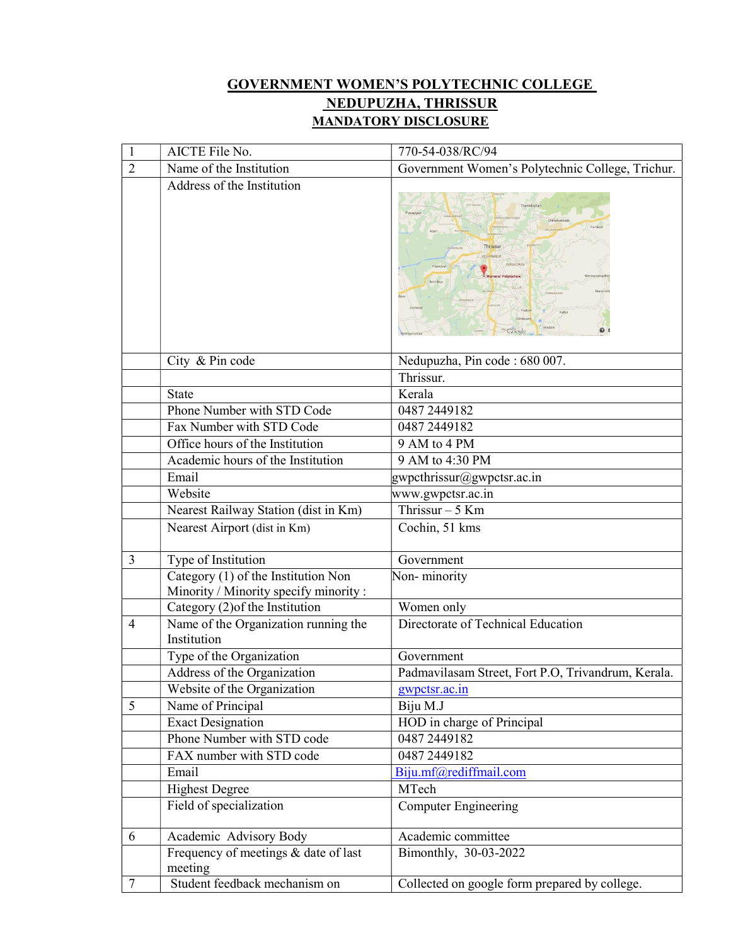## GOVERNMENT WOMEN'S POLYTECHNIC COLLEGE NEDUPUZHA, THRISSUR MANDATORY DISCLOSURE

| $\mathbf{1}$   | AICTE File No.                                                               | 770-54-038/RC/94                                   |  |  |  |  |
|----------------|------------------------------------------------------------------------------|----------------------------------------------------|--|--|--|--|
| $\overline{2}$ | Name of the Institution                                                      | Government Women's Polytechnic College, Trichur.   |  |  |  |  |
|                | Address of the Institution                                                   | hanikkur<br>Thrissur<br>Arimbu<br>$\mathbf{0}$     |  |  |  |  |
|                | City & Pin code                                                              | Nedupuzha, Pin code: 680 007.                      |  |  |  |  |
|                |                                                                              | Thrissur.                                          |  |  |  |  |
|                | <b>State</b>                                                                 | Kerala                                             |  |  |  |  |
|                | Phone Number with STD Code                                                   | 0487 2449182                                       |  |  |  |  |
|                | Fax Number with STD Code                                                     | 0487 2449 182                                      |  |  |  |  |
|                | Office hours of the Institution                                              | 9 AM to 4 PM                                       |  |  |  |  |
|                | Academic hours of the Institution                                            | 9 AM to 4:30 PM                                    |  |  |  |  |
|                | Email                                                                        | gwpcthrissur@gwpctsr.ac.in                         |  |  |  |  |
|                | Website                                                                      | www.gwpctsr.ac.in                                  |  |  |  |  |
|                | Nearest Railway Station (dist in Km)                                         | Thrissur $-5$ Km                                   |  |  |  |  |
|                | Nearest Airport (dist in Km)                                                 | Cochin, 51 kms                                     |  |  |  |  |
| 3              | Type of Institution                                                          | Government                                         |  |  |  |  |
|                | Category (1) of the Institution Non<br>Minority / Minority specify minority: | Non-minority                                       |  |  |  |  |
|                | Category (2) of the Institution                                              | Women only                                         |  |  |  |  |
| $\overline{4}$ | Name of the Organization running the<br>Institution                          | Directorate of Technical Education                 |  |  |  |  |
|                | Type of the Organization                                                     | Government                                         |  |  |  |  |
|                | Address of the Organization                                                  | Padmavilasam Street, Fort P.O, Trivandrum, Kerala. |  |  |  |  |
|                | Website of the Organization                                                  | gwpctsr.ac.in                                      |  |  |  |  |
| 5              | Name of Principal                                                            | Biju M.J                                           |  |  |  |  |
|                | <b>Exact Designation</b>                                                     | HOD in charge of Principal                         |  |  |  |  |
|                | Phone Number with STD code                                                   | 0487 2449 182                                      |  |  |  |  |
|                | FAX number with STD code                                                     | 0487 2449182                                       |  |  |  |  |
|                | Email                                                                        | Biju.mf@rediffmail.com                             |  |  |  |  |
|                | <b>Highest Degree</b>                                                        | MTech                                              |  |  |  |  |
|                | Field of specialization                                                      | <b>Computer Engineering</b>                        |  |  |  |  |
| 6              | Academic Advisory Body                                                       | Academic committee                                 |  |  |  |  |
|                | Frequency of meetings & date of last                                         | Bimonthly, 30-03-2022                              |  |  |  |  |
|                | meeting                                                                      |                                                    |  |  |  |  |
| 7              | Student feedback mechanism on                                                | Collected on google form prepared by college.      |  |  |  |  |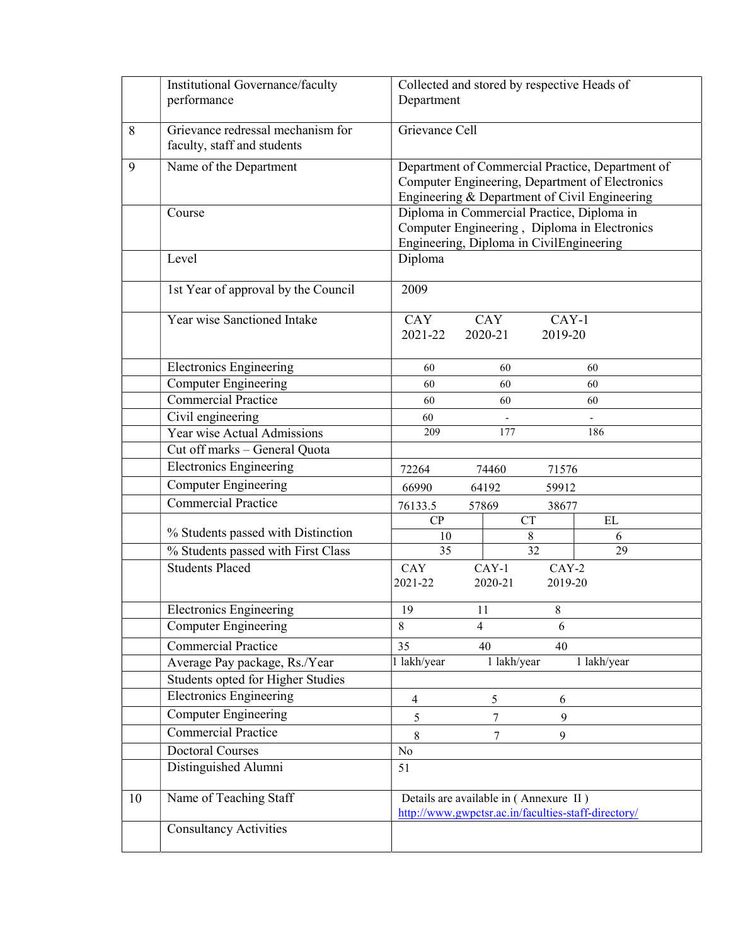|    | Institutional Governance/faculty                                 | Collected and stored by respective Heads of                                                   |  |  |  |  |  |
|----|------------------------------------------------------------------|-----------------------------------------------------------------------------------------------|--|--|--|--|--|
|    | performance                                                      | Department                                                                                    |  |  |  |  |  |
|    |                                                                  |                                                                                               |  |  |  |  |  |
| 8  | Grievance redressal mechanism for<br>faculty, staff and students | Grievance Cell                                                                                |  |  |  |  |  |
| 9  | Name of the Department                                           | Department of Commercial Practice, Department of                                              |  |  |  |  |  |
|    |                                                                  | Computer Engineering, Department of Electronics                                               |  |  |  |  |  |
|    |                                                                  | Engineering & Department of Civil Engineering                                                 |  |  |  |  |  |
|    | Course                                                           | Diploma in Commercial Practice, Diploma in                                                    |  |  |  |  |  |
|    |                                                                  | Computer Engineering, Diploma in Electronics<br>Engineering, Diploma in CivilEngineering      |  |  |  |  |  |
|    | Level                                                            | Diploma                                                                                       |  |  |  |  |  |
|    |                                                                  |                                                                                               |  |  |  |  |  |
|    | 1st Year of approval by the Council                              | 2009                                                                                          |  |  |  |  |  |
|    | Year wise Sanctioned Intake                                      | CAY<br>CAY<br>$CAY-1$                                                                         |  |  |  |  |  |
|    |                                                                  | 2021-22<br>2020-21<br>2019-20                                                                 |  |  |  |  |  |
|    |                                                                  |                                                                                               |  |  |  |  |  |
|    | <b>Electronics Engineering</b>                                   | 60<br>60<br>60                                                                                |  |  |  |  |  |
|    | <b>Computer Engineering</b><br>Commercial Practice               | 60<br>60<br>60                                                                                |  |  |  |  |  |
|    |                                                                  | 60<br>60<br>60                                                                                |  |  |  |  |  |
|    | Civil engineering<br>Year wise Actual Admissions                 | 60<br>209<br>177<br>186                                                                       |  |  |  |  |  |
|    | Cut off marks - General Quota                                    |                                                                                               |  |  |  |  |  |
|    | <b>Electronics Engineering</b>                                   |                                                                                               |  |  |  |  |  |
|    | Computer Engineering                                             | 72264<br>74460<br>71576                                                                       |  |  |  |  |  |
|    | <b>Commercial Practice</b>                                       | 66990<br>64192<br>59912                                                                       |  |  |  |  |  |
|    |                                                                  | 76133.5<br>57869<br>38677<br><b>CT</b><br>$\mathbf{EL}$<br>CP                                 |  |  |  |  |  |
|    | % Students passed with Distinction                               | $8\,$<br>10<br>6                                                                              |  |  |  |  |  |
|    | % Students passed with First Class                               | 32<br>29<br>35                                                                                |  |  |  |  |  |
|    | <b>Students Placed</b>                                           | CAY<br>$CAY-1$<br>$CAY-2$                                                                     |  |  |  |  |  |
|    |                                                                  | 2021-22<br>2020-21<br>2019-20                                                                 |  |  |  |  |  |
|    | <b>Electronics Engineering</b>                                   | 8<br>19<br>11                                                                                 |  |  |  |  |  |
|    | <b>Computer Engineering</b>                                      | $\overline{4}$<br>6<br>8                                                                      |  |  |  |  |  |
|    | <b>Commercial Practice</b>                                       | 35<br>40<br>40                                                                                |  |  |  |  |  |
|    | Average Pay package, Rs./Year                                    | 1 lakh/year<br>1 lakh/year<br>1 lakh/year                                                     |  |  |  |  |  |
|    | Students opted for Higher Studies                                |                                                                                               |  |  |  |  |  |
|    | <b>Electronics Engineering</b>                                   | $\overline{4}$<br>5<br>6                                                                      |  |  |  |  |  |
|    | <b>Computer Engineering</b>                                      | 9<br>5<br>7                                                                                   |  |  |  |  |  |
|    | <b>Commercial Practice</b>                                       | 8<br>7<br>9                                                                                   |  |  |  |  |  |
|    | <b>Doctoral Courses</b>                                          | No                                                                                            |  |  |  |  |  |
|    | Distinguished Alumni                                             | 51                                                                                            |  |  |  |  |  |
| 10 | Name of Teaching Staff                                           | Details are available in (Annexure II)<br>http://www.gwpctsr.ac.in/faculties-staff-directory/ |  |  |  |  |  |
|    | <b>Consultancy Activities</b>                                    |                                                                                               |  |  |  |  |  |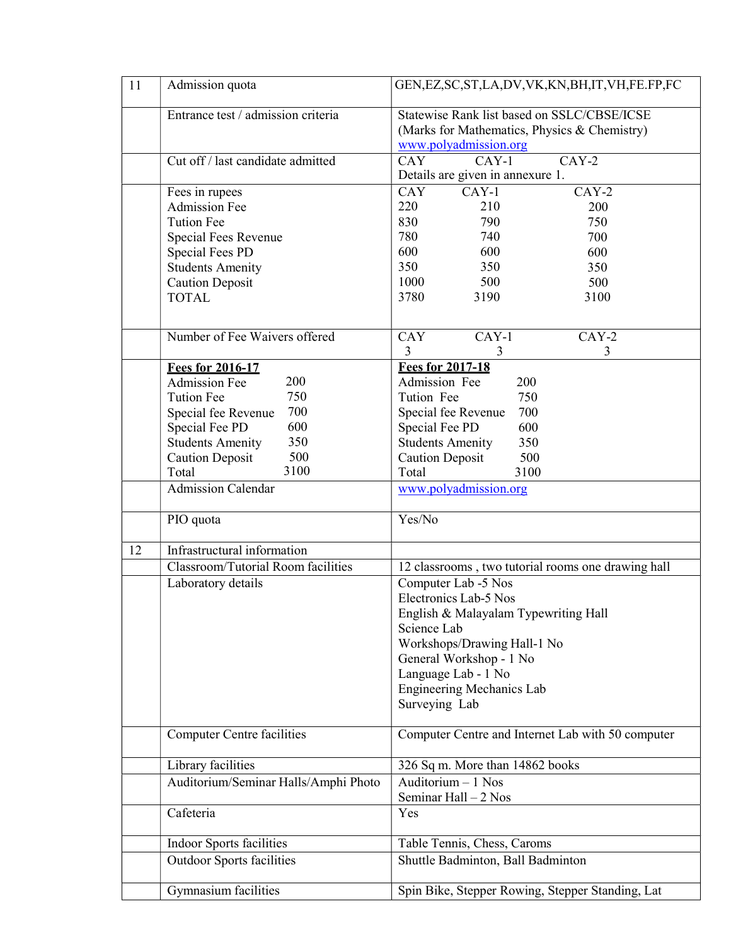| 11 | Admission quota                       | GEN, EZ, SC, ST, LA, DV, VK, KN, BH, IT, VH, FE. FP, FC                                                              |  |  |  |  |  |
|----|---------------------------------------|----------------------------------------------------------------------------------------------------------------------|--|--|--|--|--|
|    | Entrance test / admission criteria    | Statewise Rank list based on SSLC/CBSE/ICSE<br>(Marks for Mathematics, Physics & Chemistry)<br>www.polyadmission.org |  |  |  |  |  |
|    | Cut off / last candidate admitted     | $CAY-2$<br>CAY<br>$CAY-1$<br>Details are given in annexure 1.                                                        |  |  |  |  |  |
|    | Fees in rupees                        | <b>CAY</b><br>$CAY-1$<br>$CAY-2$                                                                                     |  |  |  |  |  |
|    | <b>Admission Fee</b>                  | 220<br>210<br>200                                                                                                    |  |  |  |  |  |
|    | <b>Tution Fee</b>                     | 830<br>790<br>750                                                                                                    |  |  |  |  |  |
|    | Special Fees Revenue                  | 780<br>740<br>700                                                                                                    |  |  |  |  |  |
|    | <b>Special Fees PD</b>                | 600<br>600<br>600                                                                                                    |  |  |  |  |  |
|    | <b>Students Amenity</b>               | 350<br>350<br>350                                                                                                    |  |  |  |  |  |
|    | <b>Caution Deposit</b>                | 1000<br>500<br>500                                                                                                   |  |  |  |  |  |
|    | <b>TOTAL</b>                          | 3780<br>3190<br>3100                                                                                                 |  |  |  |  |  |
|    | Number of Fee Waivers offered         | $CAY-1$<br>$CAY-2$<br><b>CAY</b><br>3<br>3<br>3                                                                      |  |  |  |  |  |
|    | <b>Fees for 2016-17</b>               | <b>Fees for 2017-18</b>                                                                                              |  |  |  |  |  |
|    | 200<br><b>Admission Fee</b>           | Admission Fee<br>200                                                                                                 |  |  |  |  |  |
|    | 750<br><b>Tution Fee</b>              | Tution Fee<br>750                                                                                                    |  |  |  |  |  |
|    | 700<br>Special fee Revenue            | 700<br>Special fee Revenue                                                                                           |  |  |  |  |  |
|    | 600<br>Special Fee PD                 | Special Fee PD<br>600                                                                                                |  |  |  |  |  |
|    | 350<br><b>Students Amenity</b>        | <b>Students Amenity</b><br>350                                                                                       |  |  |  |  |  |
|    | 500<br><b>Caution Deposit</b><br>3100 | <b>Caution Deposit</b><br>500                                                                                        |  |  |  |  |  |
|    | Total                                 | 3100<br>Total                                                                                                        |  |  |  |  |  |
|    | <b>Admission Calendar</b>             | www.polyadmission.org                                                                                                |  |  |  |  |  |
|    | PIO quota                             | Yes/No                                                                                                               |  |  |  |  |  |
| 12 | Infrastructural information           |                                                                                                                      |  |  |  |  |  |
|    | Classroom/Tutorial Room facilities    | 12 classrooms, two tutorial rooms one drawing hall                                                                   |  |  |  |  |  |
|    | Laboratory details                    | Computer Lab -5 Nos                                                                                                  |  |  |  |  |  |
|    |                                       | Electronics Lab-5 Nos                                                                                                |  |  |  |  |  |
|    |                                       | English & Malayalam Typewriting Hall                                                                                 |  |  |  |  |  |
|    |                                       | Science Lab                                                                                                          |  |  |  |  |  |
|    |                                       | Workshops/Drawing Hall-1 No                                                                                          |  |  |  |  |  |
|    |                                       | General Workshop - 1 No                                                                                              |  |  |  |  |  |
|    |                                       | Language Lab - 1 No                                                                                                  |  |  |  |  |  |
|    |                                       | <b>Engineering Mechanics Lab</b>                                                                                     |  |  |  |  |  |
|    |                                       | Surveying Lab                                                                                                        |  |  |  |  |  |
|    | <b>Computer Centre facilities</b>     | Computer Centre and Internet Lab with 50 computer                                                                    |  |  |  |  |  |
|    | Library facilities                    | 326 Sq m. More than 14862 books                                                                                      |  |  |  |  |  |
|    | Auditorium/Seminar Halls/Amphi Photo  | Auditorium $-1$ Nos<br>Seminar Hall $-2$ Nos                                                                         |  |  |  |  |  |
|    | Cafeteria                             | Yes                                                                                                                  |  |  |  |  |  |
|    | Indoor Sports facilities              | Table Tennis, Chess, Caroms                                                                                          |  |  |  |  |  |
|    | <b>Outdoor Sports facilities</b>      | Shuttle Badminton, Ball Badminton                                                                                    |  |  |  |  |  |
|    | Gymnasium facilities                  | Spin Bike, Stepper Rowing, Stepper Standing, Lat                                                                     |  |  |  |  |  |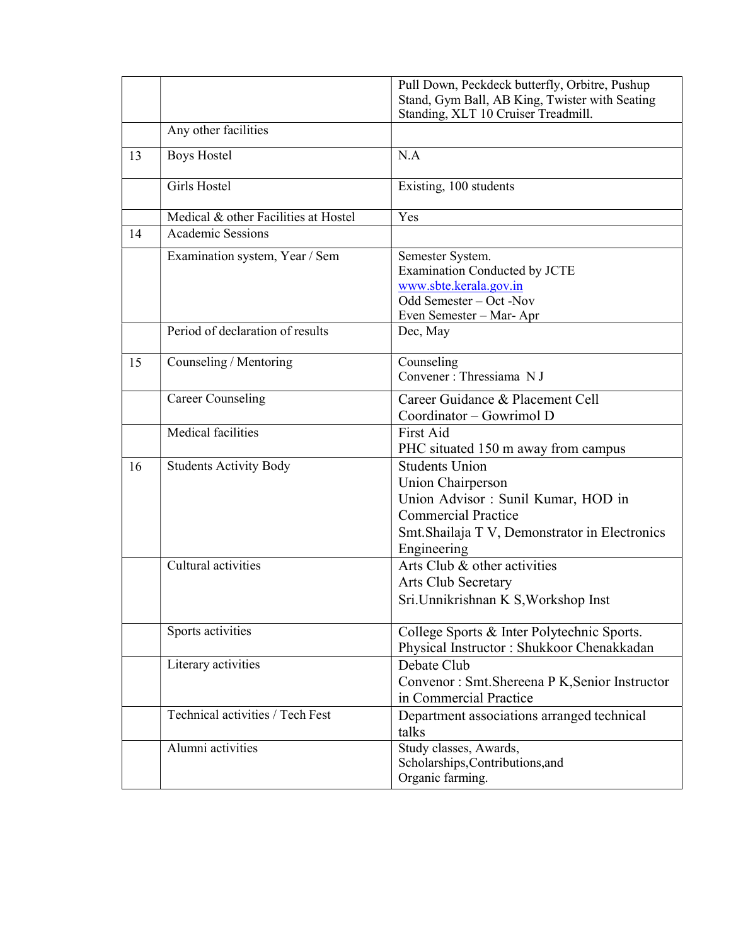|    |                                      | Pull Down, Peckdeck butterfly, Orbitre, Pushup<br>Stand, Gym Ball, AB King, Twister with Seating<br>Standing, XLT 10 Cruiser Treadmill.                                          |
|----|--------------------------------------|----------------------------------------------------------------------------------------------------------------------------------------------------------------------------------|
|    | Any other facilities                 |                                                                                                                                                                                  |
| 13 | <b>Boys Hostel</b>                   | N.A                                                                                                                                                                              |
|    | Girls Hostel                         | Existing, 100 students                                                                                                                                                           |
|    | Medical & other Facilities at Hostel | Yes                                                                                                                                                                              |
| 14 | <b>Academic Sessions</b>             |                                                                                                                                                                                  |
|    | Examination system, Year / Sem       | Semester System.<br><b>Examination Conducted by JCTE</b><br>www.sbte.kerala.gov.in<br>Odd Semester - Oct - Nov<br>Even Semester - Mar-Apr                                        |
|    | Period of declaration of results     | Dec, May                                                                                                                                                                         |
| 15 | Counseling / Mentoring               | Counseling<br>Convener : Thressiama NJ                                                                                                                                           |
|    | <b>Career Counseling</b>             | Career Guidance & Placement Cell<br>Coordinator - Gowrimol D                                                                                                                     |
|    | Medical facilities                   | First Aid<br>PHC situated 150 m away from campus                                                                                                                                 |
| 16 | <b>Students Activity Body</b>        | <b>Students Union</b><br>Union Chairperson<br>Union Advisor : Sunil Kumar, HOD in<br><b>Commercial Practice</b><br>Smt. Shailaja T V, Demonstrator in Electronics<br>Engineering |
|    | Cultural activities                  | Arts Club & other activities<br>Arts Club Secretary<br>Sri.Unnikrishnan K S, Workshop Inst                                                                                       |
|    | Sports activities                    | College Sports & Inter Polytechnic Sports.<br>Physical Instructor: Shukkoor Chenakkadan                                                                                          |
|    | Literary activities                  | Debate Club<br>Convenor: Smt.Shereena P K, Senior Instructor<br>in Commercial Practice                                                                                           |
|    | Technical activities / Tech Fest     | Department associations arranged technical<br>talks                                                                                                                              |
|    | Alumni activities                    | Study classes, Awards,<br>Scholarships, Contributions, and<br>Organic farming.                                                                                                   |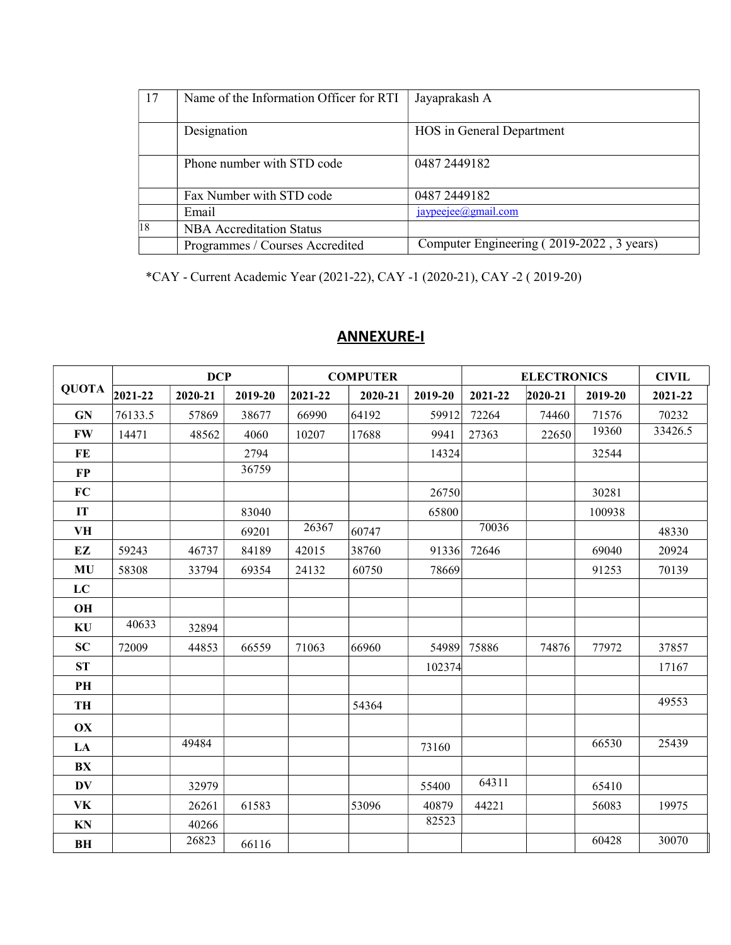| 17           | Name of the Information Officer for RTI | Jayaprakash A                             |
|--------------|-----------------------------------------|-------------------------------------------|
|              | Designation                             | HOS in General Department                 |
|              | Phone number with STD code              | 0487 2449 182                             |
|              | Fax Number with STD code                | 0487 2449182                              |
|              | Email                                   | jaypeejee@gmail.com                       |
| $ 18\rangle$ | <b>NBA</b> Accreditation Status         |                                           |
|              | Programmes / Courses Accredited         | Computer Engineering (2019-2022, 3 years) |

\*CAY - Current Academic Year (2021-22), CAY -1 (2020-21), CAY -2 ( 2019-20)

| <b>QUOTA</b> | <b>DCP</b> |         |         | <b>COMPUTER</b> |         | <b>ELECTRONICS</b> |         |             | <b>CIVIL</b> |         |
|--------------|------------|---------|---------|-----------------|---------|--------------------|---------|-------------|--------------|---------|
|              | 2021-22    | 2020-21 | 2019-20 | 2021-22         | 2020-21 | 2019-20            | 2021-22 | $2020 - 21$ | 2019-20      | 2021-22 |
| <b>GN</b>    | 76133.5    | 57869   | 38677   | 66990           | 64192   | 59912              | 72264   | 74460       | 71576        | 70232   |
| <b>FW</b>    | 14471      | 48562   | 4060    | 10207           | 17688   | 9941               | 27363   | 22650       | 19360        | 33426.5 |
| FE           |            |         | 2794    |                 |         | 14324              |         |             | 32544        |         |
| $\bf FP$     |            |         | 36759   |                 |         |                    |         |             |              |         |
| FC           |            |         |         |                 |         | 26750              |         |             | 30281        |         |
| IT           |            |         | 83040   |                 |         | 65800              |         |             | 100938       |         |
| VH           |            |         | 69201   | 26367           | 60747   |                    | 70036   |             |              | 48330   |
| EZ           | 59243      | 46737   | 84189   | 42015           | 38760   | 91336              | 72646   |             | 69040        | 20924   |
| <b>MU</b>    | 58308      | 33794   | 69354   | 24132           | 60750   | 78669              |         |             | 91253        | 70139   |
| LC           |            |         |         |                 |         |                    |         |             |              |         |
| OH           |            |         |         |                 |         |                    |         |             |              |         |
| KU           | 40633      | 32894   |         |                 |         |                    |         |             |              |         |
| <b>SC</b>    | 72009      | 44853   | 66559   | 71063           | 66960   | 54989              | 75886   | 74876       | 77972        | 37857   |
| <b>ST</b>    |            |         |         |                 |         | 102374             |         |             |              | 17167   |
| PH           |            |         |         |                 |         |                    |         |             |              |         |
| TH           |            |         |         |                 | 54364   |                    |         |             |              | 49553   |
| OX           |            |         |         |                 |         |                    |         |             |              |         |
| LA           |            | 49484   |         |                 |         | 73160              |         |             | 66530        | 25439   |
| BX           |            |         |         |                 |         |                    |         |             |              |         |
| <b>DV</b>    |            | 32979   |         |                 |         | 55400              | 64311   |             | 65410        |         |
| VK           |            | 26261   | 61583   |                 | 53096   | 40879              | 44221   |             | 56083        | 19975   |
| KN           |            | 40266   |         |                 |         | 82523              |         |             |              |         |
| BH           |            | 26823   | 66116   |                 |         |                    |         |             | 60428        | 30070   |

## ANNEXURE-I